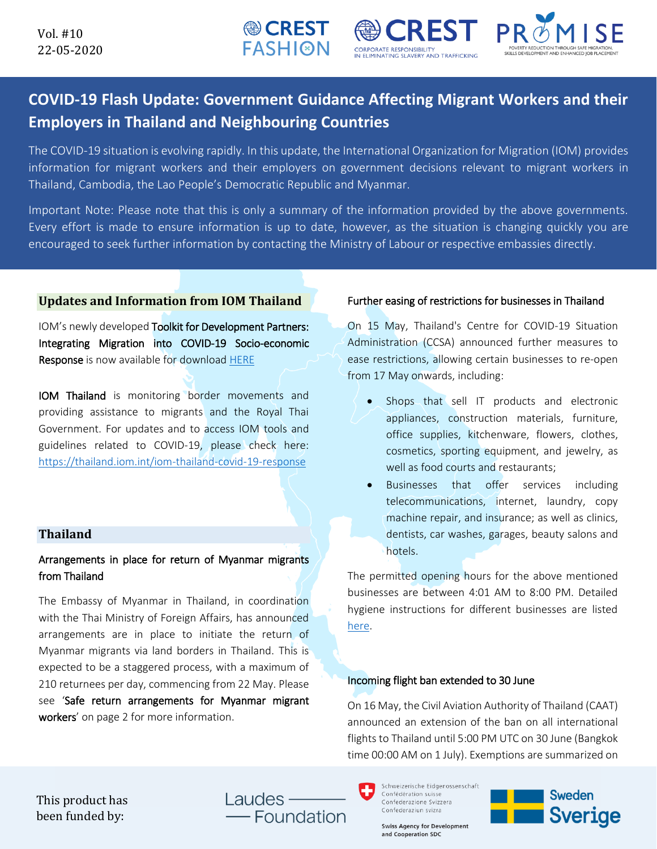

# **COVID-19 Flash Update: Government Guidance Affecting Migrant Workers and their Employers in Thailand and Neighbouring Countries**

**CORPORATE RESPONSIBILITY** 

**INATING SLAVERY AND TRAFFICKIN** 

**● CREST FASHI@N** 

The COVID-19 situation is evolving rapidly. In this update, the International Organization for Migration (IOM) provides information for migrant workers and their employers on government decisions relevant to migrant workers in Thailand, Cambodia, the Lao People's Democratic Republic and Myanmar.

Important Note: Please note that this is only a summary of the information provided by the above governments. Every effort is made to ensure information is up to date, however, as the situation is changing quickly you are encouraged to seek further information by contacting the Ministry of Labour or respective embassies directly.

### **Updates and Information from IOM Thailand**

IOM's newly developed Toolkit for Development Partners: Integrating Migration into COVID-19 Socio-economic Response is now available for download [HERE](https://eea.iom.int/publications/toolkit-development-partners-integrating-migration-COVID-19-socio-economic-response) 

IOM Thailand is monitoring border movements and providing assistance to migrants and the Royal Thai Government. For updates and to access IOM tools and guidelines related to COVID-19, please check here: <https://thailand.iom.int/iom-thailand-covid-19-response>

## **Thailand**

# Arrangements in place for return of Myanmar migrants from Thailand

The Embassy of Myanmar in Thailand, in coordination with the Thai Ministry of Foreign Affairs, has announced arrangements are in place to initiate the return of Myanmar migrants via land borders in Thailand. This is expected to be a staggered process, with a maximum of 210 returnees per day, commencing from 22 May. Please see 'Safe return arrangements for Myanmar migrant workers' on page 2 for more information.

### Further easing of restrictions for businesses in Thailand

On 15 May, Thailand's Centre for COVID-19 Situation Administration (CCSA) announced further measures to ease restrictions, allowing certain businesses to re-open from 17 May onwards, including:

- Shops that sell IT products and electronic appliances, construction materials, furniture, office supplies, kitchenware, flowers, clothes, cosmetics, sporting equipment, and jewelry, as well as food courts and restaurants;
- Businesses that offer services including telecommunications, internet, laundry, copy machine repair, and insurance; as well as clinics, dentists, car washes, garages, beauty salons and hotels.

The permitted opening hours for the above mentioned businesses are between 4:01 AM to 8:00 PM. Detailed hygiene instructions for different businesses are listed [here.](https://iomint-my.sharepoint.com/:f:/g/personal/yjiang_iom_int/Eq8x8OZaehFPkDiP18u5ZhUB_gI-2DL4Ua-FoLROm6ukiw?e=qapcaN)

### Incoming flight ban extended to 30 June

On 16 May, the Civil Aviation Authority of Thailand (CAAT) announced an extension of the ban on all international flights to Thailand until 5:00 PM UTC on 30 June (Bangkok time 00:00 AM on 1 July). Exemptions are summarized on

This product has been funded by:

Laudes · Foundation Schweizerische Eidgenossenschaft Confédération suisse Confederazione Svizzera Confederaziun svizra

**Swiss Agency for Development** and Cooperation SDC

**Sweden Sverige**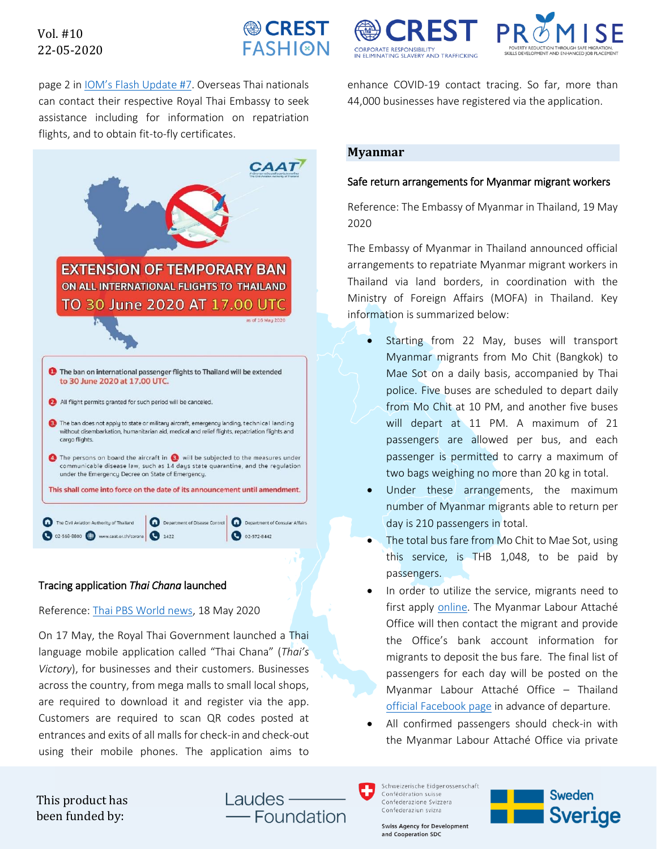# Vol. #10 22-05-2020



page 2 in [IOM's Flash Update](https://thailand.iom.int/sites/default/files/Infosheets/01-05-2020%20IOM%20Flash%20Update%20on%20COVID-19%20for%20Migrant%20Workers%20in%20Thailand.pdf) #7. Overseas Thai nationals can contact their respective Royal Thai Embassy to seek assistance including for information on repatriation flights, and to obtain fit-to-fly certificates.



# Tracing application *Thai Chana* launched

Reference[: Thai PBS World](https://www.thaipbsworld.com/over-2-6-million-shoppers-download-thai-chana-virus-tracing-app/) news, 18 May 2020

On 17 May, the Royal Thai Government launched a Thai language mobile application called "Thai Chana" (*Thai's Victory*), for businesses and their customers. Businesses across the country, from mega malls to small local shops, are required to download it and register via the app. Customers are required to scan QR codes posted at entrances and exits of all malls for check-in and check-out using their mobile phones. The application aims to

**CORPORATE RESPONSIBILITY** IN ELIMINATING SLAVERY AND TRAFFICKIN



enhance COVID-19 contact tracing. So far, more than 44,000 businesses have registered via the application.

## **Myanmar**

#### Safe return arrangements for Myanmar migrant workers

Reference: The Embassy of Myanmar in Thailand, 19 May 2020

The Embassy of Myanmar in Thailand announced official arrangements to repatriate Myanmar migrant workers in Thailand via land borders, in coordination with the Ministry of Foreign Affairs (MOFA) in Thailand. Key information is summarized below:

- Starting from 22 May, buses will transport Myanmar migrants from Mo Chit (Bangkok) to Mae Sot on a daily basis, accompanied by Thai police. Five buses are scheduled to depart daily from Mo Chit at 10 PM, and another five buses will depart at 11 PM. A maximum of 21 passengers are allowed per bus, and each passenger is permitted to carry a maximum of two bags weighing no more than 20 kg in total.
- Under these arrangements, the maximum number of Myanmar migrants able to return per day is 210 passengers in total.
- The total bus fare from Mo Chit to Mae Sot, using this service, is THB 1,048, to be paid by passengers.
- In order to utilize the service, migrants need to first apply [online.](https://docs.google.com/forms/d/e/1FAIpQLSeEEoihOpUcyw_PVXAk-K7DwH3wiZiseO0hljMJliW7E7KBZw/viewform?fbclid=IwAR1r7aiggaTxw5651ZcxyNV17joSvUtfbV20qSUJzmFMsdUeZOmUsPE8Bj) The Myanmar Labour Attaché Office will then contact the migrant and provide the Office's bank account information for migrants to deposit the bus fare. The final list of passengers for each day will be posted on the Myanmar Labour Attaché Office – Thailand [official Facebook page](https://www.facebook.com/myanmar.labour.office.thai/) in advance of departure.
- All confirmed passengers should check-in with the Myanmar Labour Attaché Office via private

This product has been funded by:

Laudes -- Foundation Schweizerische Eidgenossenschaft Confédération suisse Confederazione Svizzera Confederaziun svizra

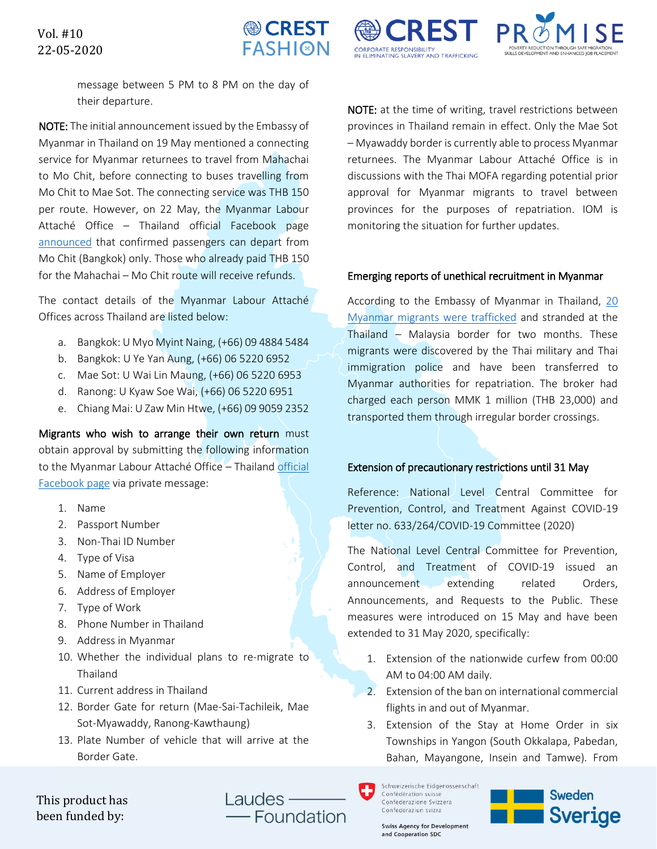

**CORPORATE RESPONSIBILITY** 

**VELIMINATING SLAVERY AND TRAFFICKIN** 



message between 5 PM to 8 PM on the day of their departure.

NOTE: The initial announcement issued by the Embassy of Myanmar in Thailand on 19 May mentioned a connecting service for Myanmar returnees to travel from Mahachai to Mo Chit, before connecting to buses travelling from Mo Chit to Mae Sot. The connecting service was THB 150 per route. However, on 22 May, the Myanmar Labour Attaché Office – Thailand official Facebook page [announced](https://www.facebook.com/281841248980818/posts/876185289546408/) that confirmed passengers can depart from Mo Chit (Bangkok) only. Those who already paid THB 150 for the Mahachai – Mo Chit route will receive refunds.

The contact details of the Myanmar Labour Attaché Offices across Thailand are listed below:

- a. Bangkok: U Myo Myint Naing, (+66) 09 4884 5484
- b. Bangkok: U Ye Yan Aung, (+66) 06 5220 6952
- c. Mae Sot: U Wai Lin Maung, (+66) 06 5220 6953
- d. Ranong: U Kyaw Soe Wai, (+66) 06 5220 6951
- e. Chiang Mai: U Zaw Min Htwe, (+66) 09 9059 2352

Migrants who wish to arrange their own return must obtain approval by submitting the following information to the Myanmar Labour Attaché Office – Thailand official [Facebook page](https://www.facebook.com/myanmar.labour.office.thai/) via private message:

- 1. Name
- 2. Passport Number
- 3. Non-Thai ID Number
- 4. Type of Visa
- 5. Name of Employer
- 6. Address of Employer
- 7. Type of Work
- 8. Phone Number in Thailand
- 9. Address in Myanmar
- 10. Whether the individual plans to re-migrate to Thailand
- 11. Current address in Thailand
- 12. Border Gate for return (Mae-Sai-Tachileik, Mae Sot-Myawaddy, Ranong-Kawthaung)
- 13. Plate Number of vehicle that will arrive at the Border Gate.

NOTE: at the time of writing, travel restrictions between provinces in Thailand remain in effect. Only the Mae Sot – Myawaddy border is currently able to process Myanmar returnees. The Myanmar Labour Attaché Office is in discussions with the Thai MOFA regarding potential prior approval for Myanmar migrants to travel between provinces for the purposes of repatriation. IOM is monitoring the situation for further updates.

#### Emerging reports of unethical recruitment in Myanmar

According to the Embassy of Myanmar in Thailand, [20](https://www.bangkokpost.com/thailand/general/1919180/trafficked-migrants-rescued-in-south)  [Myanmar migrants were trafficked](https://www.bangkokpost.com/thailand/general/1919180/trafficked-migrants-rescued-in-south) and stranded at the Thailand – Malaysia border for two months. These migrants were discovered by the Thai military and Thai immigration police and have been transferred to Myanmar authorities for repatriation. The broker had charged each person MMK 1 million (THB 23,000) and transported them through irregular border crossings.

### Extension of precautionary restrictions until 31 May

Reference: National Level Central Committee for Prevention, Control, and Treatment Against COVID-19 letter no. 633/264/COVID-19 Committee (2020)

The National Level Central Committee for Prevention, Control, and Treatment of COVID-19 issued an announcement extending related Orders, Announcements, and Requests to the Public. These measures were introduced on 15 May and have been extended to 31 May 2020, specifically:

- 1. Extension of the nationwide curfew from 00:00 AM to 04:00 AM daily.
- 2. Extension of the ban on international commercial flights in and out of Myanmar.
- 3. Extension of the Stay at Home Order in six Townships in Yangon (South Okkalapa, Pabedan, Bahan, Mayangone, Insein and Tamwe). From

Schweizerische Eidgenossenschaft Confédération suisse Confederazione Svizzera Confederaziun svizra



This product has been funded by:

Laudes -Foundation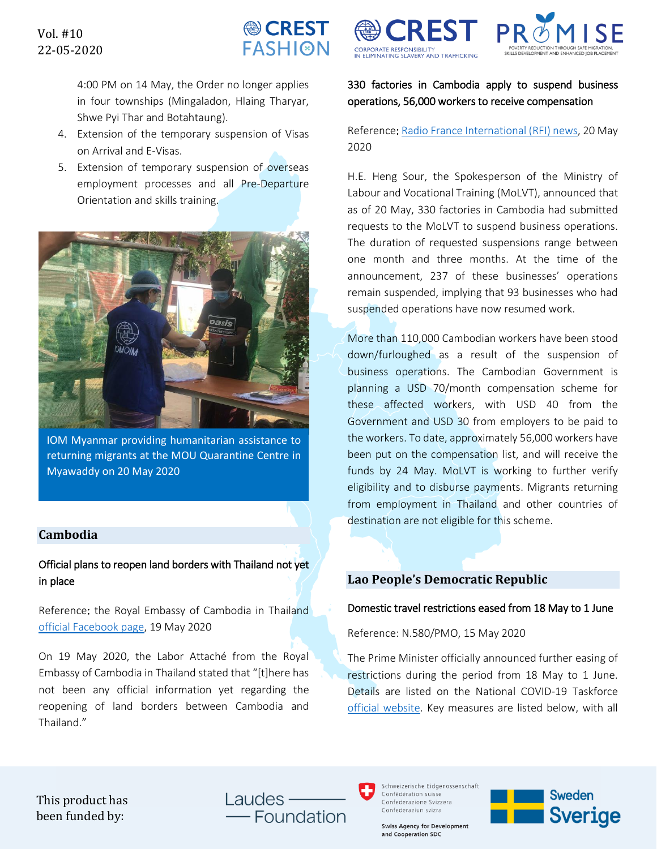

4:00 PM on 14 May, the Order no longer applies in four townships (Mingaladon, Hlaing Tharyar, Shwe Pyi Thar and Botahtaung).

- 4. Extension of the temporary suspension of Visas on Arrival and E-Visas.
- 5. Extension of temporary suspension of overseas employment processes and all Pre-Departure Orientation and skills training.



IOM Myanmar providing humanitarian assistance to returning migrants at the MOU Quarantine Centre in Myawaddy on 20 May 2020

## **Cambodia**

# Official plans to reopen land borders with Thailand not yet in place

Reference: the Royal Embassy of Cambodia in Thailand [official Facebook page,](https://www.facebook.com/ទីប្រឹក្សាទទួលបន្ទុកពលករប្រចាំប្រទេសថៃ-ที่ปรึกษาฝ่ายแรงงาน-ประจำประเทศไทย-1345836062185064/) 19 May 2020

On 19 May 2020, the Labor Attaché from the Royal Embassy of Cambodia in Thailand stated that "[t]here has not been any official information yet regarding the reopening of land borders between Cambodia and Thailand."





# 330 factories in Cambodia apply to suspend business operations, 56,000 workers to receive compensation

Reference: [Radio France International \(RFI\) news,](http://www.rfi.fr/km/%E1%9E%80%E1%9E%98%E1%9F%92%E1%9E%96%E1%9E%BB%E1%9E%87%E1%9E%B6/20200520-%E1%9E%9B%E1%9F%84%E1%9E%80%E1%9E%A0%E1%9F%81%E1%9E%84-%E1%9E%9F%E1%9E%BD%E1%9E%9A%E1%9F%96%E1%9E%93%E1%9F%85%E1%9E%96%E1%9F%81%E1%9E%9B%E1%9E%93%E1%9F%81%E1%9F%87%E1%9E%9A%E1%9F%84%E1%9E%84%E1%9E%85%E1%9E%80%E1%9F%92%E1%9E%9A%E1%9E%80%E1%9F%86%E1%9E%96%E1%9E%BB%E1%9E%84%E1%9E%96%E1%9F%92%E1%9E%99%E1%9E%BD%E1%9E%9A%E1%9E%80%E1%9E%B6%E1%9E%9A%E1%9E%84%E1%9E%B6%E1%9E%9A%E1%9E%98%E1%9E%B6%E1%9E%93%E1%9F%A2%E1%9F%A3%E1%9F%A7-%E1%9E%94%E1%9F%89%E1%9F%87%E1%9E%96%E1%9E%B6%E1%9E%9B%E1%9F%8B%E1%9E%8A%E1%9E%9B%E1%9F%8B%E1%9E%80%E1%9E%98%E1%9F%92%E1%9E%98%E1%9E%80%E1%9E%9A%E1%9E%87%E1%9E%B6%E1%9E%84%E1%9F%A1%E1%9F%A1%E1%9E%98%E1%9F%89%E1%9E%BA%E1%9E%93%E1%9E%93%E1%9E%B6%E1%9E%80%E1%9F%8B) 20 May 2020

H.E. Heng Sour, the Spokesperson of the Ministry of Labour and Vocational Training (MoLVT), announced that as of 20 May, 330 factories in Cambodia had submitted requests to the MoLVT to suspend business operations. The duration of requested suspensions range between one month and three months. At the time of the announcement, 237 of these businesses' operations remain suspended, implying that 93 businesses who had suspended operations have now resumed work.

More than 110,000 Cambodian workers have been stood down/furloughed as a result of the suspension of business operations. The Cambodian Government is planning a USD 70/month compensation scheme for these affected workers, with USD 40 from the Government and USD 30 from employers to be paid to the workers. To date, approximately 56,000 workers have been put on the compensation list, and will receive the funds by 24 May. MoLVT is working to further verify eligibility and to disburse payments. Migrants returning from employment in Thailand and other countries of destination are not eligible for this scheme.

# **Lao People's Democratic Republic**

### Domestic travel restrictions eased from 18 May to 1 June

Reference: N.580/PMO, 15 May 2020

The Prime Minister officially announced further easing of restrictions during the period from 18 May to 1 June. Details are listed on the National COVID-19 Taskforce [official website.](https://www.covid19.gov.la/index.php?r=site%2Fdetail&id=588) Key measures are listed below, with all

This product has been funded by:

Laudes -- Foundation